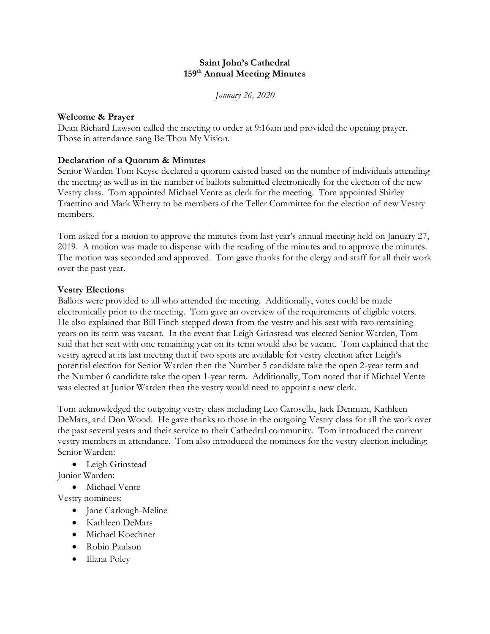# **Saint John's Cathedral 159 th Annual Meeting Minutes**

*January 26, 2020*

## **Welcome & Prayer**

Dean Richard Lawson called the meeting to order at 9:16am and provided the opening prayer. Those in attendance sang Be Thou My Vision.

# **Declaration of a Quorum & Minutes**

Senior Warden Tom Keyse declared a quorum existed based on the number of individuals attending the meeting as well as in the number of ballots submitted electronically for the election of the new Vestry class. Tom appointed Michael Vente as clerk for the meeting. Tom appointed Shirley Traettino and Mark Wherry to be members of the Teller Committee for the election of new Vestry members.

Tom asked for a motion to approve the minutes from last year's annual meeting held on January 27, 2019. A motion was made to dispense with the reading of the minutes and to approve the minutes. The motion was seconded and approved. Tom gave thanks for the clergy and staff for all their work over the past year.

# **Vestry Elections**

Ballots were provided to all who attended the meeting. Additionally, votes could be made electronically prior to the meeting. Tom gave an overview of the requirements of eligible voters. He also explained that Bill Finch stepped down from the vestry and his seat with two remaining years on its term was vacant. In the event that Leigh Grinstead was elected Senior Warden, Tom said that her seat with one remaining year on its term would also be vacant. Tom explained that the vestry agreed at its last meeting that if two spots are available for vestry election after Leigh's potential election for Senior Warden then the Number 5 candidate take the open 2-year term and the Number 6 candidate take the open 1-year term. Additionally, Tom noted that if Michael Vente was elected at Junior Warden then the vestry would need to appoint a new clerk.

Tom acknowledged the outgoing vestry class including Leo Carosella, Jack Denman, Kathleen DeMars, and Don Wood. He gave thanks to those in the outgoing Vestry class for all the work over the past several years and their service to their Cathedral community. Tom introduced the current vestry members in attendance. Tom also introduced the nominees for the vestry election including: Senior Warden:

• Leigh Grinstead

Junior Warden:

• Michael Vente

Vestry nominees:

- Jane Carlough-Meline
- Kathleen DeMars
- Michael Koechner
- Robin Paulson
- Illana Poley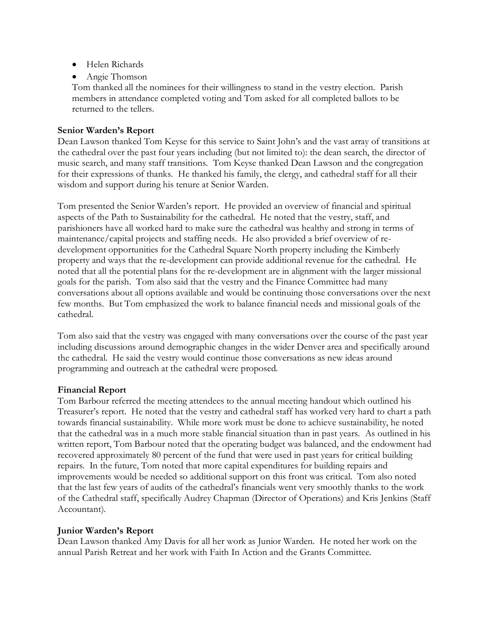- Helen Richards
- Angie Thomson

Tom thanked all the nominees for their willingness to stand in the vestry election. Parish members in attendance completed voting and Tom asked for all completed ballots to be returned to the tellers.

## **Senior Warden's Report**

Dean Lawson thanked Tom Keyse for this service to Saint John's and the vast array of transitions at the cathedral over the past four years including (but not limited to): the dean search, the director of music search, and many staff transitions. Tom Keyse thanked Dean Lawson and the congregation for their expressions of thanks. He thanked his family, the clergy, and cathedral staff for all their wisdom and support during his tenure at Senior Warden.

Tom presented the Senior Warden's report. He provided an overview of financial and spiritual aspects of the Path to Sustainability for the cathedral. He noted that the vestry, staff, and parishioners have all worked hard to make sure the cathedral was healthy and strong in terms of maintenance/capital projects and staffing needs. He also provided a brief overview of redevelopment opportunities for the Cathedral Square North property including the Kimberly property and ways that the re-development can provide additional revenue for the cathedral. He noted that all the potential plans for the re-development are in alignment with the larger missional goals for the parish. Tom also said that the vestry and the Finance Committee had many conversations about all options available and would be continuing those conversations over the next few months. But Tom emphasized the work to balance financial needs and missional goals of the cathedral.

Tom also said that the vestry was engaged with many conversations over the course of the past year including discussions around demographic changes in the wider Denver area and specifically around the cathedral. He said the vestry would continue those conversations as new ideas around programming and outreach at the cathedral were proposed.

### **Financial Report**

Tom Barbour referred the meeting attendees to the annual meeting handout which outlined his Treasurer's report. He noted that the vestry and cathedral staff has worked very hard to chart a path towards financial sustainability. While more work must be done to achieve sustainability, he noted that the cathedral was in a much more stable financial situation than in past years. As outlined in his written report, Tom Barbour noted that the operating budget was balanced, and the endowment had recovered approximately 80 percent of the fund that were used in past years for critical building repairs. In the future, Tom noted that more capital expenditures for building repairs and improvements would be needed so additional support on this front was critical. Tom also noted that the last few years of audits of the cathedral's financials went very smoothly thanks to the work of the Cathedral staff, specifically Audrey Chapman (Director of Operations) and Kris Jenkins (Staff Accountant).

### **Junior Warden's Report**

Dean Lawson thanked Amy Davis for all her work as Junior Warden. He noted her work on the annual Parish Retreat and her work with Faith In Action and the Grants Committee.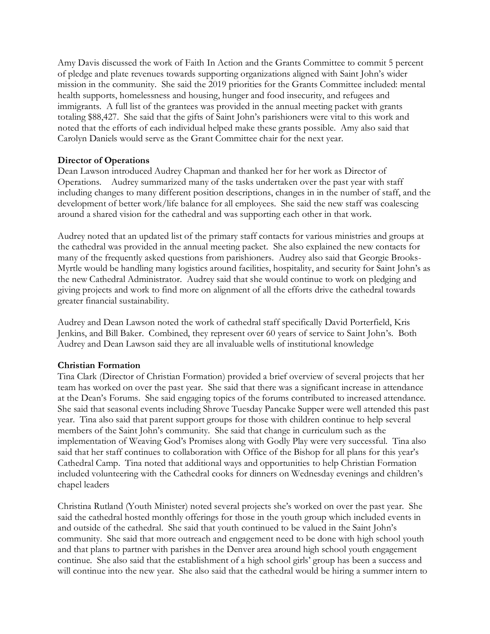Amy Davis discussed the work of Faith In Action and the Grants Committee to commit 5 percent of pledge and plate revenues towards supporting organizations aligned with Saint John's wider mission in the community. She said the 2019 priorities for the Grants Committee included: mental health supports, homelessness and housing, hunger and food insecurity, and refugees and immigrants. A full list of the grantees was provided in the annual meeting packet with grants totaling \$88,427. She said that the gifts of Saint John's parishioners were vital to this work and noted that the efforts of each individual helped make these grants possible. Amy also said that Carolyn Daniels would serve as the Grant Committee chair for the next year.

### **Director of Operations**

Dean Lawson introduced Audrey Chapman and thanked her for her work as Director of Operations. Audrey summarized many of the tasks undertaken over the past year with staff including changes to many different position descriptions, changes in in the number of staff, and the development of better work/life balance for all employees. She said the new staff was coalescing around a shared vision for the cathedral and was supporting each other in that work.

Audrey noted that an updated list of the primary staff contacts for various ministries and groups at the cathedral was provided in the annual meeting packet. She also explained the new contacts for many of the frequently asked questions from parishioners. Audrey also said that Georgie Brooks-Myrtle would be handling many logistics around facilities, hospitality, and security for Saint John's as the new Cathedral Administrator. Audrey said that she would continue to work on pledging and giving projects and work to find more on alignment of all the efforts drive the cathedral towards greater financial sustainability.

Audrey and Dean Lawson noted the work of cathedral staff specifically David Porterfield, Kris Jenkins, and Bill Baker. Combined, they represent over 60 years of service to Saint John's. Both Audrey and Dean Lawson said they are all invaluable wells of institutional knowledge

#### **Christian Formation**

Tina Clark (Director of Christian Formation) provided a brief overview of several projects that her team has worked on over the past year. She said that there was a significant increase in attendance at the Dean's Forums. She said engaging topics of the forums contributed to increased attendance. She said that seasonal events including Shrove Tuesday Pancake Supper were well attended this past year. Tina also said that parent support groups for those with children continue to help several members of the Saint John's community. She said that change in curriculum such as the implementation of Weaving God's Promises along with Godly Play were very successful. Tina also said that her staff continues to collaboration with Office of the Bishop for all plans for this year's Cathedral Camp. Tina noted that additional ways and opportunities to help Christian Formation included volunteering with the Cathedral cooks for dinners on Wednesday evenings and children's chapel leaders

Christina Rutland (Youth Minister) noted several projects she's worked on over the past year. She said the cathedral hosted monthly offerings for those in the youth group which included events in and outside of the cathedral. She said that youth continued to be valued in the Saint John's community. She said that more outreach and engagement need to be done with high school youth and that plans to partner with parishes in the Denver area around high school youth engagement continue. She also said that the establishment of a high school girls' group has been a success and will continue into the new year. She also said that the cathedral would be hiring a summer intern to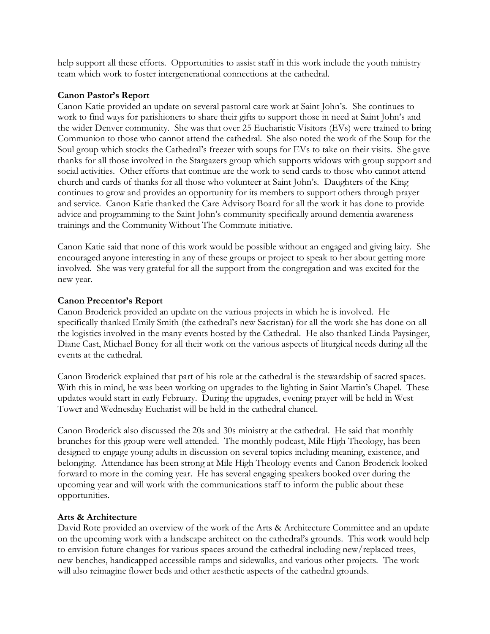help support all these efforts. Opportunities to assist staff in this work include the youth ministry team which work to foster intergenerational connections at the cathedral.

### **Canon Pastor's Report**

Canon Katie provided an update on several pastoral care work at Saint John's. She continues to work to find ways for parishioners to share their gifts to support those in need at Saint John's and the wider Denver community. She was that over 25 Eucharistic Visitors (EVs) were trained to bring Communion to those who cannot attend the cathedral. She also noted the work of the Soup for the Soul group which stocks the Cathedral's freezer with soups for EVs to take on their visits. She gave thanks for all those involved in the Stargazers group which supports widows with group support and social activities. Other efforts that continue are the work to send cards to those who cannot attend church and cards of thanks for all those who volunteer at Saint John's. Daughters of the King continues to grow and provides an opportunity for its members to support others through prayer and service. Canon Katie thanked the Care Advisory Board for all the work it has done to provide advice and programming to the Saint John's community specifically around dementia awareness trainings and the Community Without The Commute initiative.

Canon Katie said that none of this work would be possible without an engaged and giving laity. She encouraged anyone interesting in any of these groups or project to speak to her about getting more involved. She was very grateful for all the support from the congregation and was excited for the new year.

### **Canon Precentor's Report**

Canon Broderick provided an update on the various projects in which he is involved. He specifically thanked Emily Smith (the cathedral's new Sacristan) for all the work she has done on all the logistics involved in the many events hosted by the Cathedral. He also thanked Linda Paysinger, Diane Cast, Michael Boney for all their work on the various aspects of liturgical needs during all the events at the cathedral.

Canon Broderick explained that part of his role at the cathedral is the stewardship of sacred spaces. With this in mind, he was been working on upgrades to the lighting in Saint Martin's Chapel. These updates would start in early February. During the upgrades, evening prayer will be held in West Tower and Wednesday Eucharist will be held in the cathedral chancel.

Canon Broderick also discussed the 20s and 30s ministry at the cathedral. He said that monthly brunches for this group were well attended. The monthly podcast, Mile High Theology, has been designed to engage young adults in discussion on several topics including meaning, existence, and belonging. Attendance has been strong at Mile High Theology events and Canon Broderick looked forward to more in the coming year. He has several engaging speakers booked over during the upcoming year and will work with the communications staff to inform the public about these opportunities.

### **Arts & Architecture**

David Rote provided an overview of the work of the Arts & Architecture Committee and an update on the upcoming work with a landscape architect on the cathedral's grounds. This work would help to envision future changes for various spaces around the cathedral including new/replaced trees, new benches, handicapped accessible ramps and sidewalks, and various other projects. The work will also reimagine flower beds and other aesthetic aspects of the cathedral grounds.